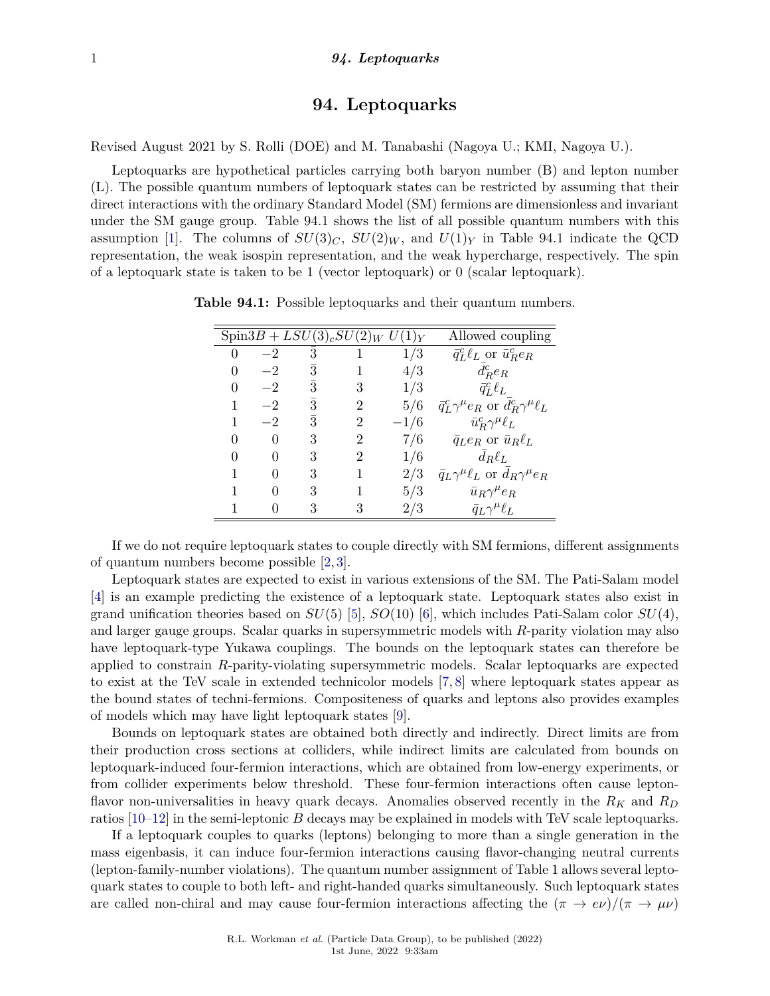## **94. Leptoquarks**

Revised August 2021 by S. Rolli (DOE) and M. Tanabashi (Nagoya U.; KMI, Nagoya U.).

Leptoquarks are hypothetical particles carrying both baryon number (B) and lepton number (L). The possible quantum numbers of leptoquark states can be restricted by assuming that their direct interactions with the ordinary Standard Model (SM) fermions are dimensionless and invariant under the SM gauge group. Table 94.1 shows the list of all possible quantum numbers with this assumption [\[1\]](#page-4-0). The columns of  $SU(3)_C$ ,  $SU(2)_W$ , and  $U(1)_Y$  in Table 94.1 indicate the QCD representation, the weak isospin representation, and the weak hypercharge, respectively. The spin of a leptoquark state is taken to be 1 (vector leptoquark) or 0 (scalar leptoquark).

|              |      |           | $Spin3B + LSU(3)_cSU(2)_W U(1)_Y$ |        | Allowed coupling                                          |
|--------------|------|-----------|-----------------------------------|--------|-----------------------------------------------------------|
|              | $-2$ | 3         |                                   | 1/3    | $\bar{q}_L^c \ell_L$ or $\bar{u}_R^c e_R$                 |
| $\mathbf{0}$ | $-2$ | 3         |                                   | 4/3    | $d_R^c e_R$                                               |
| 0            | $-2$ | 3         | 3                                 | 1/3    | $\bar{q}^c_L \ell_L$                                      |
|              | $-2$ | $\bar{3}$ | $\mathcal{D}$                     | 5/6    | $\bar{q}_L^c \gamma^\mu e_R$ or $d_R^c \gamma^\mu \ell_L$ |
|              | $-2$ | 3         |                                   | $-1/6$ | $\bar{u}_R^c \gamma^\mu \ell_L$                           |
| $\mathbf{0}$ |      | 3         | 2                                 | 7/6    | $\bar{q}_L e_R$ or $\bar{u}_R \ell_L$                     |
| 0            |      | 3         | 2                                 | 1/6    | $d_R\ell_L$                                               |
|              |      | 3         |                                   | 2/3    | $\bar{q}_L \gamma^{\mu} \ell_L$ or $d_R \gamma^{\mu} e_R$ |
|              |      | 3         |                                   | 5/3    | $\bar{u}_R \gamma^\mu e_R$                                |
|              |      |           |                                   | 2/3    | $\bar{q}_L \gamma^\mu \ell_L$                             |

**Table 94.1:** Possible leptoquarks and their quantum numbers.

If we do not require leptoquark states to couple directly with SM fermions, different assignments of quantum numbers become possible [\[2,](#page-4-1) [3\]](#page-4-2).

Leptoquark states are expected to exist in various extensions of the SM. The Pati-Salam model [\[4\]](#page-4-3) is an example predicting the existence of a leptoquark state. Leptoquark states also exist in grand unification theories based on  $SU(5)$  [\[5\]](#page-4-4),  $SO(10)$  [\[6\]](#page-4-5), which includes Pati-Salam color  $SU(4)$ . and larger gauge groups. Scalar quarks in supersymmetric models with *R*-parity violation may also have leptoquark-type Yukawa couplings. The bounds on the leptoquark states can therefore be applied to constrain *R*-parity-violating supersymmetric models. Scalar leptoquarks are expected to exist at the TeV scale in extended technicolor models [\[7,](#page-4-6) [8\]](#page-4-7) where leptoquark states appear as the bound states of techni-fermions. Compositeness of quarks and leptons also provides examples of models which may have light leptoquark states [\[9\]](#page-4-8).

Bounds on leptoquark states are obtained both directly and indirectly. Direct limits are from their production cross sections at colliders, while indirect limits are calculated from bounds on leptoquark-induced four-fermion interactions, which are obtained from low-energy experiments, or from collider experiments below threshold. These four-fermion interactions often cause leptonflavor non-universalities in heavy quark decays. Anomalies observed recently in the *R<sup>K</sup>* and *R<sup>D</sup>* ratios [\[10](#page-4-9)[–12\]](#page-4-10) in the semi-leptonic *B* decays may be explained in models with TeV scale leptoquarks.

If a leptoquark couples to quarks (leptons) belonging to more than a single generation in the mass eigenbasis, it can induce four-fermion interactions causing flavor-changing neutral currents (lepton-family-number violations). The quantum number assignment of Table 1 allows several leptoquark states to couple to both left- and right-handed quarks simultaneously. Such leptoquark states are called non-chiral and may cause four-fermion interactions affecting the  $(\pi \to e\nu)/(\pi \to \mu\nu)$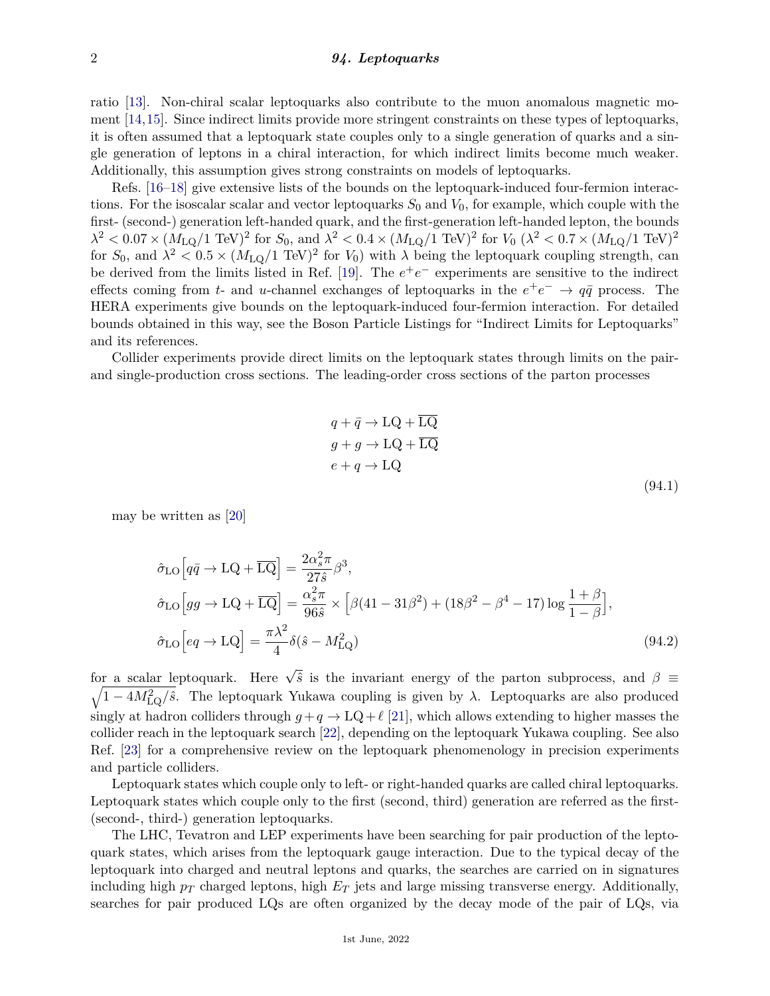ratio [\[13\]](#page-4-11). Non-chiral scalar leptoquarks also contribute to the muon anomalous magnetic moment [\[14,](#page-4-12)[15\]](#page-4-13). Since indirect limits provide more stringent constraints on these types of leptoquarks, it is often assumed that a leptoquark state couples only to a single generation of quarks and a single generation of leptons in a chiral interaction, for which indirect limits become much weaker. Additionally, this assumption gives strong constraints on models of leptoquarks.

Refs. [\[16](#page-4-14)[–18\]](#page-4-15) give extensive lists of the bounds on the leptoquark-induced four-fermion interactions. For the isoscalar scalar and vector leptoquarks  $S_0$  and  $V_0$ , for example, which couple with the first- (second-) generation left-handed quark, and the first-generation left-handed lepton, the bounds  $\lambda^2 < 0.07 \times (M_{\text{LQ}}/1 \text{ TeV})^2$  for  $S_0$ , and  $\lambda^2 < 0.4 \times (M_{\text{LQ}}/1 \text{ TeV})^2$  for  $V_0$  ( $\lambda^2 < 0.7 \times (M_{\text{LQ}}/1 \text{ TeV})^2$ for  $S_0$ , and  $\lambda^2 < 0.5 \times (M_{LQ}/1 \text{ TeV})^2$  for  $V_0$ ) with  $\lambda$  being the leptoquark coupling strength, can be derived from the limits listed in Ref. [\[19\]](#page-4-16). The  $e^+e^-$  experiments are sensitive to the indirect effects coming from *t*- and *u*-channel exchanges of leptoquarks in the  $e^+e^- \rightarrow q\bar{q}$  process. The HERA experiments give bounds on the leptoquark-induced four-fermion interaction. For detailed bounds obtained in this way, see the Boson Particle Listings for "Indirect Limits for Leptoquarks" and its references.

Collider experiments provide direct limits on the leptoquark states through limits on the pairand single-production cross sections. The leading-order cross sections of the parton processes

$$
q + \bar{q} \to \text{LQ} + \overline{\text{LQ}}
$$
  
\n
$$
g + g \to \text{LQ} + \overline{\text{LQ}}
$$
  
\n
$$
e + q \to \text{LQ}
$$
  
\n(94.1)

may be written as [\[20\]](#page-5-0)

$$
\hat{\sigma}_{LO} \Big[ q\bar{q} \to LQ + \overline{LQ} \Big] = \frac{2\alpha_s^2 \pi}{27\hat{s}} \beta^3,
$$
  
\n
$$
\hat{\sigma}_{LO} \Big[ gg \to LQ + \overline{LQ} \Big] = \frac{\alpha_s^2 \pi}{96\hat{s}} \times \Big[ \beta (41 - 31\beta^2) + (18\beta^2 - \beta^4 - 17) \log \frac{1+\beta}{1-\beta} \Big],
$$
  
\n
$$
\hat{\sigma}_{LO} \Big[ eq \to LQ \Big] = \frac{\pi \lambda^2}{4} \delta(\hat{s} - M_{LQ}^2)
$$
\n(94.2)

for a scalar leptoquark. Here  $\sqrt{\hat{s}}$  is the invariant energy of the parton subprocess, and  $\beta =$  $\sqrt{1-4M_{\rm LQ}^2/\hat{s}}$ . The leptoquark Yukawa coupling is given by  $\lambda$ . Leptoquarks are also produced singly at hadron colliders through  $g + q \rightarrow LQ + \ell$  [\[21\]](#page-5-1), which allows extending to higher masses the collider reach in the leptoquark search [\[22\]](#page-5-2), depending on the leptoquark Yukawa coupling. See also Ref. [\[23\]](#page-5-3) for a comprehensive review on the leptoquark phenomenology in precision experiments and particle colliders.

Leptoquark states which couple only to left- or right-handed quarks are called chiral leptoquarks. Leptoquark states which couple only to the first (second, third) generation are referred as the first- (second-, third-) generation leptoquarks.

The LHC, Tevatron and LEP experiments have been searching for pair production of the leptoquark states, which arises from the leptoquark gauge interaction. Due to the typical decay of the leptoquark into charged and neutral leptons and quarks, the searches are carried on in signatures including high *p<sup>T</sup>* charged leptons, high *E<sup>T</sup>* jets and large missing transverse energy. Additionally, searches for pair produced LQs are often organized by the decay mode of the pair of LQs, via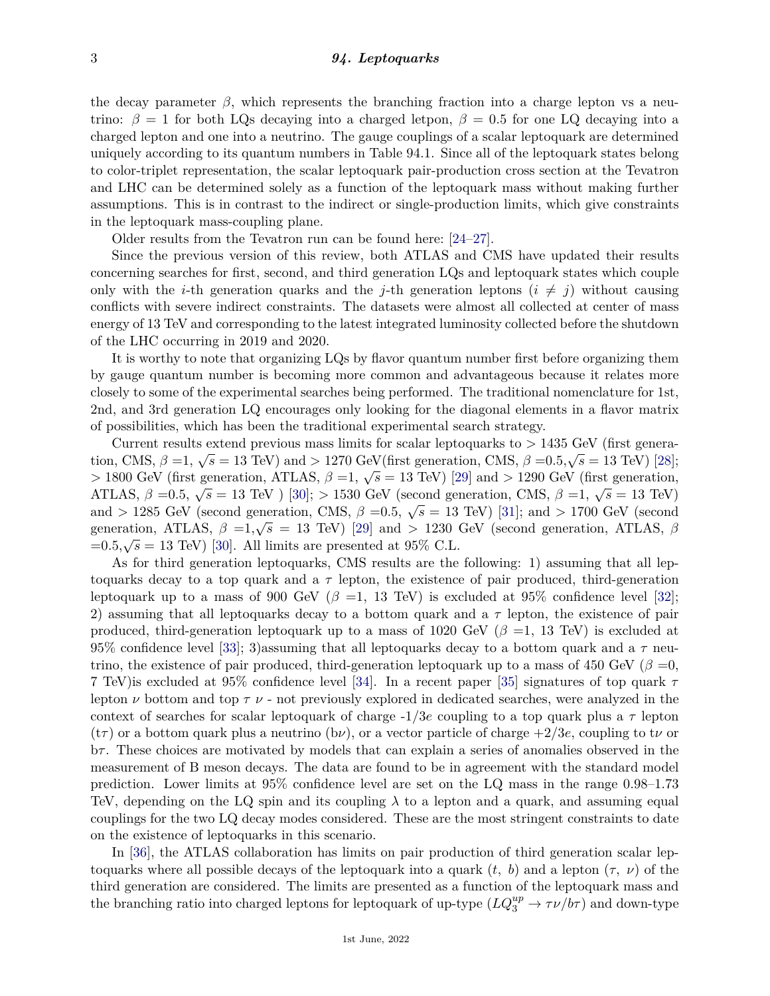the decay parameter  $\beta$ , which represents the branching fraction into a charge lepton vs a neutrino:  $\beta = 1$  for both LQs decaying into a charged letpon,  $\beta = 0.5$  for one LQ decaying into a charged lepton and one into a neutrino. The gauge couplings of a scalar leptoquark are determined uniquely according to its quantum numbers in Table 94.1. Since all of the leptoquark states belong to color-triplet representation, the scalar leptoquark pair-production cross section at the Tevatron and LHC can be determined solely as a function of the leptoquark mass without making further assumptions. This is in contrast to the indirect or single-production limits, which give constraints in the leptoquark mass-coupling plane.

Older results from the Tevatron run can be found here: [\[24–](#page-5-4)[27\]](#page-5-5).

Since the previous version of this review, both ATLAS and CMS have updated their results concerning searches for first, second, and third generation LQs and leptoquark states which couple only with the *i*-th generation quarks and the *j*-th generation leptons  $(i \neq j)$  without causing conflicts with severe indirect constraints. The datasets were almost all collected at center of mass energy of 13 TeV and corresponding to the latest integrated luminosity collected before the shutdown of the LHC occurring in 2019 and 2020.

It is worthy to note that organizing LQs by flavor quantum number first before organizing them by gauge quantum number is becoming more common and advantageous because it relates more closely to some of the experimental searches being performed. The traditional nomenclature for 1st, 2nd, and 3rd generation LQ encourages only looking for the diagonal elements in a flavor matrix of possibilities, which has been the traditional experimental search strategy.

Current results extend previous mass limits for scalar leptoquarks to *>* 1435 GeV (first generation, CMS,  $β = 1$ ,  $√s = 13$  TeV) and  $> 1270$  GeV(first generation, CMS,  $β = 0.5, √s = 13$  TeV) [\[28\]](#page-5-6);  $\frac{1}{2}$ ,  $\frac{1}{2}$ ,  $\frac{1}{2}$ ,  $\frac{1}{2}$ ,  $\frac{1}{2}$ ,  $\frac{1}{2}$ ,  $\frac{1}{2}$ ,  $\frac{1}{2}$ ,  $\frac{1}{2}$ ,  $\frac{1}{2}$ ,  $\frac{1}{2}$ ,  $\frac{1}{2}$ ,  $\frac{1}{2}$ ,  $\frac{1}{2}$ ,  $\frac{1}{2}$ ,  $\frac{1}{2}$ ,  $\frac{1}{2}$ ,  $\frac{1}{2}$ ,  $\frac{1}{2}$ ,  $\frac{1}{2}$ , ATLAS, *β* =0.5,  $\sqrt{s}$  = 13 TeV ) [\[30\]](#page-5-8); > 1530 GeV (second generation, CMS, *β* =1,  $\sqrt{s}$  = 13 TeV) and *>* 1285 GeV (second generation, CMS,  $\beta = 0.5$ ,  $\sqrt{s} = 13$  TeV) [\[31\]](#page-5-9); and *>* 1700 GeV (second generation, CMS,  $\beta = 0.5$ ,  $\sqrt{s} = 13$  TeV) [31]; and *>* 1700 GeV (second generation, ATLAS,  $\beta =1/\sqrt{s} = 13$  TeV) [\[29\]](#page-5-7) and  $> 1230$  GeV (second generation, ATLAS,  $\beta$  generation, ATLAS,  $\beta$ generation, ATLAS,  $\rho =1$ ,  $\nabla s = 13$  TeV) [23] and  $\geq 1230$ <br>=0.5, $\sqrt{s} = 13$  TeV) [\[30\]](#page-5-8). All limits are presented at 95% C.L.

As for third generation leptoquarks, CMS results are the following: 1) assuming that all leptoquarks decay to a top quark and a  $\tau$  lepton, the existence of pair produced, third-generation leptoquark up to a mass of 900 GeV ( $\beta$  =1, 13 TeV) is excluded at 95% confidence level [\[32\]](#page-5-10); 2) assuming that all leptoquarks decay to a bottom quark and a *τ* lepton, the existence of pair produced, third-generation leptoquark up to a mass of 1020 GeV ( $\beta$  =1, 13 TeV) is excluded at 95% confidence level [\[33\]](#page-5-11); 3)assuming that all leptoquarks decay to a bottom quark and a *τ* neutrino, the existence of pair produced, third-generation leptoquark up to a mass of 450 GeV ( $\beta = 0$ , 7 TeV)is excluded at 95% confidence level [\[34\]](#page-5-12). In a recent paper [\[35\]](#page-5-13) signatures of top quark *τ* lepton  $\nu$  bottom and top  $\tau \nu$  - not previously explored in dedicated searches, were analyzed in the context of searches for scalar leptoquark of charge  $-1/3e$  coupling to a top quark plus a  $\tau$  lepton  $(t\tau)$  or a bottom quark plus a neutrino (b*ν*), or a vector particle of charge  $+2/3e$ , coupling to t*v* or b*τ* . These choices are motivated by models that can explain a series of anomalies observed in the measurement of B meson decays. The data are found to be in agreement with the standard model prediction. Lower limits at 95% confidence level are set on the LQ mass in the range 0.98–1.73 TeV, depending on the LQ spin and its coupling  $\lambda$  to a lepton and a quark, and assuming equal couplings for the two LQ decay modes considered. These are the most stringent constraints to date on the existence of leptoquarks in this scenario.

In [\[36\]](#page-5-14), the ATLAS collaboration has limits on pair production of third generation scalar leptoquarks where all possible decays of the leptoquark into a quark (*t, b*) and a lepton (*τ, ν*) of the third generation are considered. The limits are presented as a function of the leptoquark mass and the branching ratio into charged leptons for leptoquark of up-type  $(LQ_3^{up} \to \tau \nu / b\tau)$  and down-type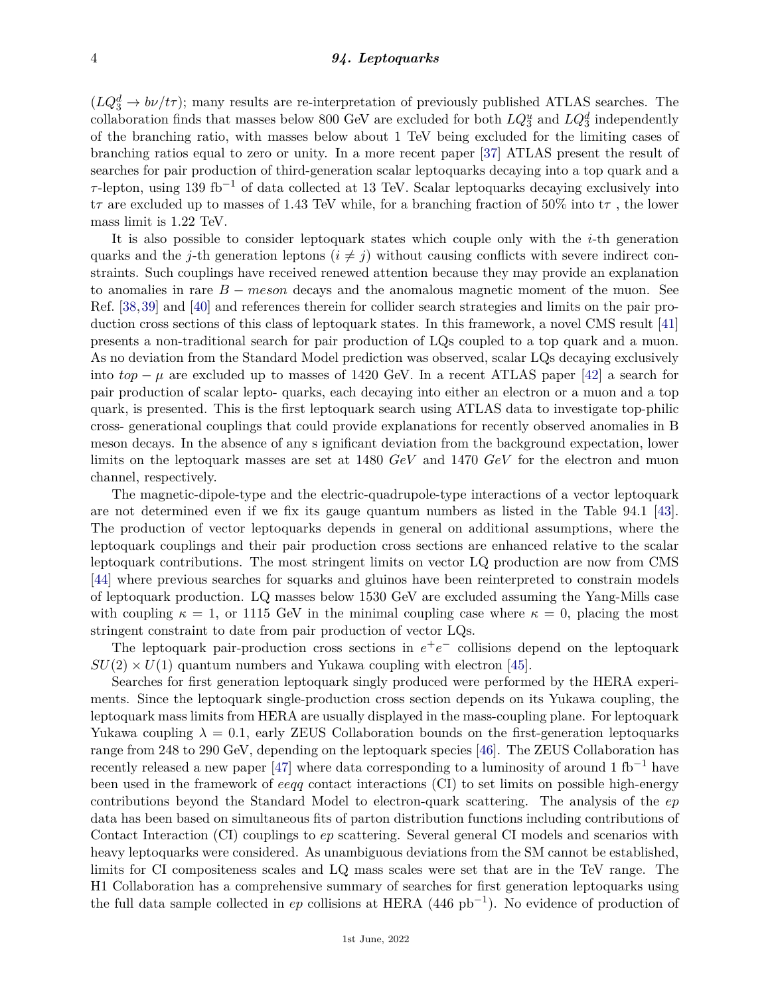$(LQ_3^d \rightarrow b\nu/t\tau)$ ; many results are re-interpretation of previously published ATLAS searches. The collaboration finds that masses below 800 GeV are excluded for both  $LQ_3^u$  and  $LQ_3^d$  independently of the branching ratio, with masses below about 1 TeV being excluded for the limiting cases of branching ratios equal to zero or unity. In a more recent paper [\[37\]](#page-5-15) ATLAS present the result of searches for pair production of third-generation scalar leptoquarks decaying into a top quark and a *τ* -lepton, using 139 fb−<sup>1</sup> of data collected at 13 TeV. Scalar leptoquarks decaying exclusively into t*τ* are excluded up to masses of 1.43 TeV while, for a branching fraction of 50% into t*τ* , the lower mass limit is 1.22 TeV.

It is also possible to consider leptoquark states which couple only with the *i*-th generation quarks and the *j*-th generation leptons  $(i \neq j)$  without causing conflicts with severe indirect constraints. Such couplings have received renewed attention because they may provide an explanation to anomalies in rare *B* − *meson* decays and the anomalous magnetic moment of the muon. See Ref. [\[38,](#page-5-16)[39\]](#page-5-17) and [\[40\]](#page-5-18) and references therein for collider search strategies and limits on the pair production cross sections of this class of leptoquark states. In this framework, a novel CMS result [\[41\]](#page-5-19) presents a non-traditional search for pair production of LQs coupled to a top quark and a muon. As no deviation from the Standard Model prediction was observed, scalar LQs decaying exclusively into  $top - \mu$  are excluded up to masses of 1420 GeV. In a recent ATLAS paper [\[42\]](#page-5-20) a search for pair production of scalar lepto- quarks, each decaying into either an electron or a muon and a top quark, is presented. This is the first leptoquark search using ATLAS data to investigate top-philic cross- generational couplings that could provide explanations for recently observed anomalies in B meson decays. In the absence of any s ignificant deviation from the background expectation, lower limits on the leptoquark masses are set at 1480 *GeV* and 1470 *GeV* for the electron and muon channel, respectively.

The magnetic-dipole-type and the electric-quadrupole-type interactions of a vector leptoquark are not determined even if we fix its gauge quantum numbers as listed in the Table 94.1 [\[43\]](#page-5-21). The production of vector leptoquarks depends in general on additional assumptions, where the leptoquark couplings and their pair production cross sections are enhanced relative to the scalar leptoquark contributions. The most stringent limits on vector LQ production are now from CMS [\[44\]](#page-5-22) where previous searches for squarks and gluinos have been reinterpreted to constrain models of leptoquark production. LQ masses below 1530 GeV are excluded assuming the Yang-Mills case with coupling  $\kappa = 1$ , or 1115 GeV in the minimal coupling case where  $\kappa = 0$ , placing the most stringent constraint to date from pair production of vector LQs.

The leptoquark pair-production cross sections in  $e^+e^-$  collisions depend on the leptoquark  $SU(2) \times U(1)$  quantum numbers and Yukawa coupling with electron [\[45\]](#page-5-23).

Searches for first generation leptoquark singly produced were performed by the HERA experiments. Since the leptoquark single-production cross section depends on its Yukawa coupling, the leptoquark mass limits from HERA are usually displayed in the mass-coupling plane. For leptoquark Yukawa coupling  $\lambda = 0.1$ , early ZEUS Collaboration bounds on the first-generation leptoquarks range from 248 to 290 GeV, depending on the leptoquark species [\[46\]](#page-5-24). The ZEUS Collaboration has recently released a new paper [\[47\]](#page-5-25) where data corresponding to a luminosity of around 1 fb<sup>-1</sup> have been used in the framework of *eeqq* contact interactions (CI) to set limits on possible high-energy contributions beyond the Standard Model to electron-quark scattering. The analysis of the *ep* data has been based on simultaneous fits of parton distribution functions including contributions of Contact Interaction (CI) couplings to *ep* scattering. Several general CI models and scenarios with heavy leptoquarks were considered. As unambiguous deviations from the SM cannot be established, limits for CI compositeness scales and LQ mass scales were set that are in the TeV range. The H1 Collaboration has a comprehensive summary of searches for first generation leptoquarks using the full data sample collected in *ep* collisions at HERA (446 pb−<sup>1</sup> ). No evidence of production of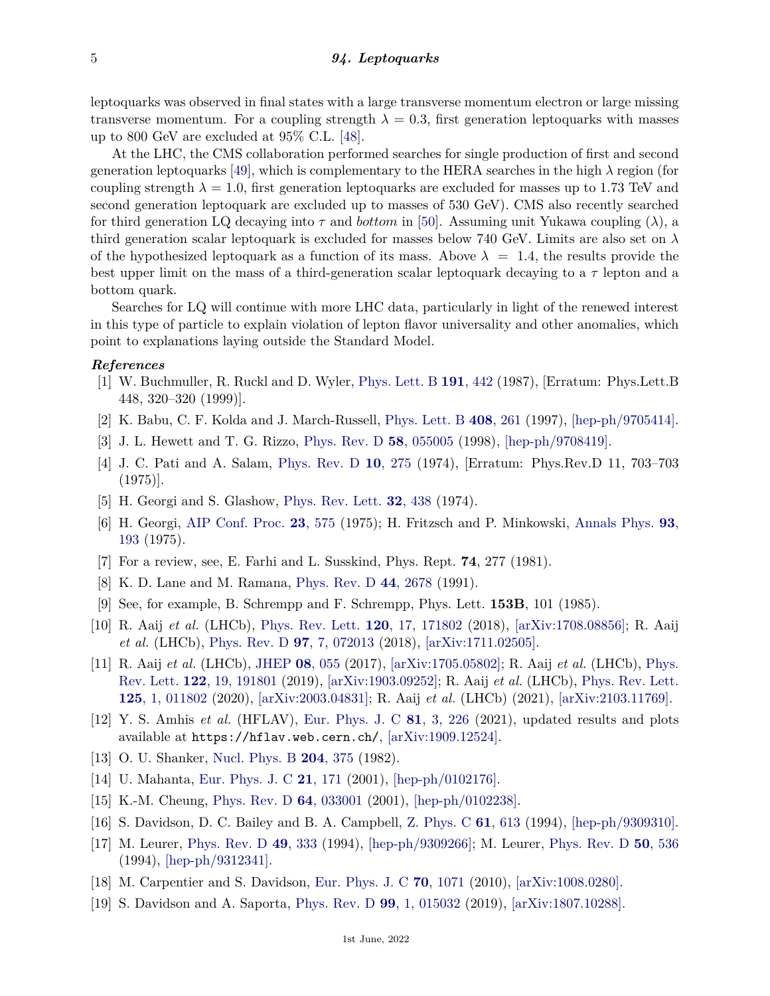leptoquarks was observed in final states with a large transverse momentum electron or large missing transverse momentum. For a coupling strength  $\lambda = 0.3$ , first generation leptoquarks with masses up to 800 GeV are excluded at 95% C.L. [\[48\]](#page-5-26).

At the LHC, the CMS collaboration performed searches for single production of first and second generation leptoquarks [\[49\]](#page-5-27), which is complementary to the HERA searches in the high  $\lambda$  region (for coupling strength  $\lambda = 1.0$ , first generation leptoquarks are excluded for masses up to 1.73 TeV and second generation leptoquark are excluded up to masses of 530 GeV). CMS also recently searched for third generation LQ decaying into *τ* and *bottom* in [\[50\]](#page-5-28). Assuming unit Yukawa coupling (*λ*), a third generation scalar leptoquark is excluded for masses below 740 GeV. Limits are also set on *λ* of the hypothesized leptoquark as a function of its mass. Above  $\lambda = 1.4$ , the results provide the best upper limit on the mass of a third-generation scalar leptoquark decaying to a *τ* lepton and a bottom quark.

Searches for LQ will continue with more LHC data, particularly in light of the renewed interest in this type of particle to explain violation of lepton flavor universality and other anomalies, which point to explanations laying outside the Standard Model.

## <span id="page-4-0"></span>*References*

- [1] W. Buchmuller, R. Ruckl and D. Wyler, [Phys. Lett. B](http://doi.org/10.1016/0370-2693(87)90637-X) **191**[, 442](http://doi.org/10.1016/0370-2693(87)90637-X) (1987), [Erratum: Phys.Lett.B 448, 320–320 (1999)].
- <span id="page-4-1"></span>[2] K. Babu, C. F. Kolda and J. March-Russell, [Phys. Lett. B](http://doi.org/10.1016/S0370-2693(97)00766-1) **408**[, 261](http://doi.org/10.1016/S0370-2693(97)00766-1) (1997), [\[hep-ph/9705414\].](https://arxiv.org/abs/hep-ph/9705414)
- <span id="page-4-2"></span>[3] J. L. Hewett and T. G. Rizzo, [Phys. Rev. D](http://doi.org/10.1103/PhysRevD.58.055005) **58**[, 055005](http://doi.org/10.1103/PhysRevD.58.055005) (1998), [\[hep-ph/9708419\].](https://arxiv.org/abs/hep-ph/9708419)
- <span id="page-4-3"></span>[4] J. C. Pati and A. Salam, [Phys. Rev. D](http://doi.org/10.1103/PhysRevD.10.275) **10**[, 275](http://doi.org/10.1103/PhysRevD.10.275) (1974), [Erratum: Phys.Rev.D 11, 703–703 (1975)].
- <span id="page-4-4"></span>[5] H. Georgi and S. Glashow, [Phys. Rev. Lett.](http://doi.org/10.1103/PhysRevLett.32.438) **32**[, 438](http://doi.org/10.1103/PhysRevLett.32.438) (1974).
- <span id="page-4-5"></span>[6] H. Georgi, [AIP Conf. Proc.](http://doi.org/10.1063/1.2947450) **23**[, 575](http://doi.org/10.1063/1.2947450) (1975); H. Fritzsch and P. Minkowski, [Annals Phys.](http://doi.org/10.1016/0003-4916(75)90211-0) **[93](http://doi.org/10.1016/0003-4916(75)90211-0)**, [193](http://doi.org/10.1016/0003-4916(75)90211-0) (1975).
- <span id="page-4-7"></span><span id="page-4-6"></span>[7] For a review, see, E. Farhi and L. Susskind, Phys. Rept. **74**, 277 (1981).
- [8] K. D. Lane and M. Ramana, [Phys. Rev. D](http://doi.org/10.1103/PhysRevD.44.2678) **44**[, 2678](http://doi.org/10.1103/PhysRevD.44.2678) (1991).
- <span id="page-4-8"></span>[9] See, for example, B. Schrempp and F. Schrempp, Phys. Lett. **153B**, 101 (1985).
- <span id="page-4-9"></span>[10] R. Aaij *et al.* (LHCb), [Phys. Rev. Lett.](http://doi.org/10.1103/PhysRevLett.120.171802) **120**[, 17, 171802](http://doi.org/10.1103/PhysRevLett.120.171802) (2018), [\[arXiv:1708.08856\];](https://arxiv.org/abs/1708.08856) R. Aaij *et al.* (LHCb), [Phys. Rev. D](http://doi.org/10.1103/PhysRevD.97.072013) **97**[, 7, 072013](http://doi.org/10.1103/PhysRevD.97.072013) (2018), [\[arXiv:1711.02505\].](https://arxiv.org/abs/1711.02505)
- [11] R. Aaij *et al.* (LHCb), [JHEP](http://doi.org/10.1007/JHEP08(2017)055) **08**[, 055](http://doi.org/10.1007/JHEP08(2017)055) (2017), [\[arXiv:1705.05802\];](https://arxiv.org/abs/1705.05802) R. Aaij *et al.* (LHCb), [Phys.](http://doi.org/10.1103/PhysRevLett.122.191801) [Rev. Lett.](http://doi.org/10.1103/PhysRevLett.122.191801) **122**[, 19, 191801](http://doi.org/10.1103/PhysRevLett.122.191801) (2019), [\[arXiv:1903.09252\];](https://arxiv.org/abs/1903.09252) R. Aaij *et al.* (LHCb), [Phys. Rev. Lett.](http://doi.org/10.1103/PhysRevLett.125.011802) **125**[, 1, 011802](http://doi.org/10.1103/PhysRevLett.125.011802) (2020), [\[arXiv:2003.04831\];](https://arxiv.org/abs/2003.04831) R. Aaij *et al.* (LHCb) (2021), [\[arXiv:2103.11769\].](https://arxiv.org/abs/2103.11769)
- <span id="page-4-10"></span>[12] Y. S. Amhis *et al.* (HFLAV), [Eur. Phys. J. C](http://doi.org/10.1140/epjc/s10052-020-8156-7) **81**[, 3, 226](http://doi.org/10.1140/epjc/s10052-020-8156-7) (2021), updated results and plots available at https://hflav.web.cern.ch/, [\[arXiv:1909.12524\].](https://arxiv.org/abs/1909.12524)
- <span id="page-4-11"></span>[13] O. U. Shanker, [Nucl. Phys. B](http://doi.org/10.1016/0550-3213(82)90196-1) **204**[, 375](http://doi.org/10.1016/0550-3213(82)90196-1) (1982).
- <span id="page-4-12"></span>[14] U. Mahanta, [Eur. Phys. J. C](http://doi.org/10.1007/s100520100705) **21**[, 171](http://doi.org/10.1007/s100520100705) (2001), [\[hep-ph/0102176\].](https://arxiv.org/abs/hep-ph/0102176)
- <span id="page-4-13"></span>[15] K.-M. Cheung, [Phys. Rev. D](http://doi.org/10.1103/PhysRevD.64.033001) **64**[, 033001](http://doi.org/10.1103/PhysRevD.64.033001) (2001), [\[hep-ph/0102238\].](https://arxiv.org/abs/hep-ph/0102238)
- <span id="page-4-14"></span>[16] S. Davidson, D. C. Bailey and B. A. Campbell, [Z. Phys. C](http://doi.org/10.1007/BF01552629) **61**[, 613](http://doi.org/10.1007/BF01552629) (1994), [\[hep-ph/9309310\].](https://arxiv.org/abs/hep-ph/9309310)
- [17] M. Leurer, [Phys. Rev. D](http://doi.org/10.1103/PhysRevD.49.333) **49**[, 333](http://doi.org/10.1103/PhysRevD.49.333) (1994), [\[hep-ph/9309266\];](https://arxiv.org/abs/hep-ph/9309266) M. Leurer, [Phys. Rev. D](http://doi.org/10.1103/PhysRevD.50.536) **50**[, 536](http://doi.org/10.1103/PhysRevD.50.536) (1994), [\[hep-ph/9312341\].](https://arxiv.org/abs/hep-ph/9312341)
- <span id="page-4-16"></span><span id="page-4-15"></span>[18] M. Carpentier and S. Davidson, [Eur. Phys. J. C](http://doi.org/10.1140/epjc/s10052-010-1482-4) **70**[, 1071](http://doi.org/10.1140/epjc/s10052-010-1482-4) (2010), [\[arXiv:1008.0280\].](https://arxiv.org/abs/1008.0280)
- [19] S. Davidson and A. Saporta, [Phys. Rev. D](http://doi.org/10.1103/PhysRevD.99.015032) **99**[, 1, 015032](http://doi.org/10.1103/PhysRevD.99.015032) (2019), [\[arXiv:1807.10288\].](https://arxiv.org/abs/1807.10288)